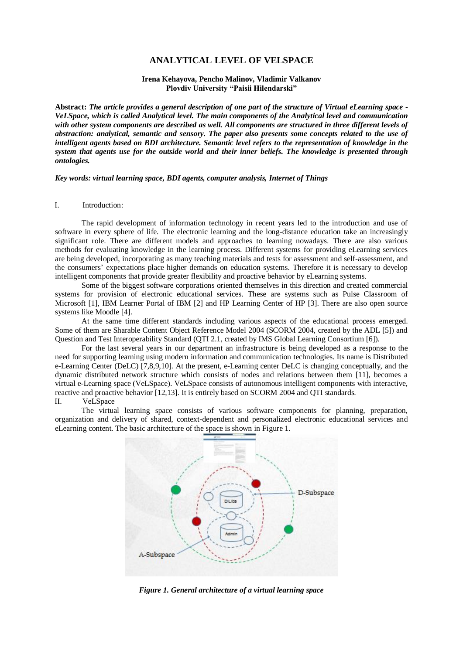# **ANALYTICAL LEVEL OF VELSPACE**

## **Irena Kehayova, Pencho Malinov, Vladimir Valkanov Plovdiv University "Paisii Hilendarski"**

**Abstract:** *The article provides a general description of one part of the structure of Virtual eLearning space - VeLSpace, which is called Analytical level. The main components of the Analytical level and communication with other system components are described as well. All components are structured in three different levels of abstraction: analytical, semantic and sensory. The paper also presents some concepts related to the use of intelligent agents based on BDI architecture. Semantic level refers to the representation of knowledge in the system that agents use for the outside world and their inner beliefs. The knowledge is presented through ontologies.*

*Key words: virtual learning space, BDI agents, computer analysis, Internet of Things*

#### I. Introduction:

The rapid development of information technology in recent years led to the introduction and use of software in every sphere of life. The electronic learning and the long-distance education take an increasingly significant role. There are different models and approaches to learning nowadays. There are also various methods for evaluating knowledge in the learning process. Different systems for providing eLearning services are being developed, incorporating as many teaching materials and tests for assessment and self-assessment, and the consumers' expectations place higher demands on education systems. Therefore it is necessary to develop intelligent components that provide greater flexibility and proactive behavior by eLearning systems.

Some of the biggest software corporations oriented themselves in this direction and created commercial systems for provision of electronic educational services. These are systems such as Pulse Classroom of Microsoft [1], IBM Learner Portal of IBM [2] and HP Learning Center of HP [3]. There are also open source systems like Moodle [4].

At the same time different standards including various aspects of the educational process emerged. Some of them are Sharable Content Object Reference Model 2004 (SCORM 2004, created by the ADL [5]) and Question and Test Interoperability Standard (QTI 2.1, created by IMS Global Learning Consortium [6]).

For the last several years in our department an infrastructure is being developed as a response to the need for supporting learning using modern information and communication technologies. Its name is Distributed e-Learning Center (DeLC) [7,8,9,10]. At the present, e-Learning center DeLC is changing conceptually, and the dynamic distributed network structure which consists of nodes and relations between them [11], becomes a virtual e-Learning space (VeLSpace). VeLSpace consists of autonomous intelligent components with interactive, reactive and proactive behavior [12,13]. It is entirely based on SCORM 2004 and QTI standards. II. VeLSpace

The virtual learning space consists of various software components for planning, preparation, organization and delivery of shared, context-dependent and personalized electronic educational services and eLearning content. The basic architecture of the space is shown in Figure 1.



*Figure 1. General architecture of a virtual learning space*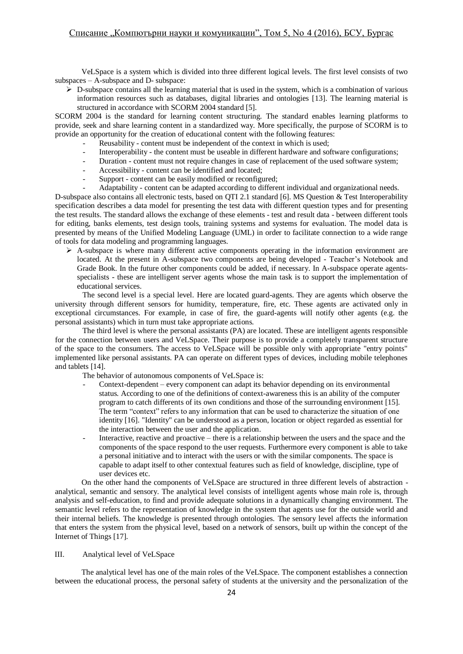VeLSpace is a system which is divided into three different logical levels. The first level consists of two subspaces – A-subspace and D- subspace:

 $\triangleright$  D-subspace contains all the learning material that is used in the system, which is a combination of various information resources such as databases, digital libraries and ontologies [13]. The learning material is structured in accordance with SCORM 2004 standard [5].

SCORM 2004 is the standard for learning content structuring. The standard enables learning platforms to provide, seek and share learning content in a standardized way. More specifically, the purpose of SCORM is to provide an opportunity for the creation of educational content with the following features:

- Reusability content must be independent of the context in which is used;
- Interoperability the content must be useable in different hardware and software configurations;
- Duration content must not require changes in case of replacement of the used software system;
- Accessibility content can be identified and located:
- Support content can be easily modified or reconfigured;
- Adaptability content can be adapted according to different individual and organizational needs.

D-subspace also contains all electronic tests, based on QTI 2.1 standard [6]. MS Question & Test Interoperability specification describes a data model for presenting the test data with different question types and for presenting the test results. The standard allows the exchange of these elements - test and result data - between different tools for editing, banks elements, test design tools, training systems and systems for evaluation. The model data is presented by means of the Unified Modeling Language (UML) in order to facilitate connection to a wide range of tools for data modeling and programming languages.

 $\triangleright$  A-subspace is where many different active components operating in the information environment are located. At the present in A-subspace two components are being developed - Teacher's Notebook and Grade Book. In the future other components could be added, if necessary. In A-subspace operate agentsspecialists - these are intelligent server agents whose the main task is to support the implementation of educational services.

The second level is a special level. Here are located guard-agents. They are agents which observe the university through different sensors for humidity, temperature, fire, etc. These agents are activated only in exceptional circumstances. For example, in case of fire, the guard-agents will notify other agents (e.g. the personal assistants) which in turn must take appropriate actions.

The third level is where the personal assistants (PA) are located. These are intelligent agents responsible for the connection between users and VeLSpace. Their purpose is to provide a completely transparent structure of the space to the consumers. The access to VeLSpace will be possible only with appropriate "entry points" implemented like personal assistants. PA can operate on different types of devices, including mobile telephones and tablets [14].

The behavior of autonomous components of VeLSpace is:

- Context-dependent every component can adapt its behavior depending on its environmental status. According to one of the definitions of context-awareness this is an ability of the computer program to catch differents of its own conditions and those of the surrounding environment [15]. The term "context" refers to any information that can be used to characterize the situation of one identity [16]. "Identity" can be understood as a person, location or object regarded as essential for the interaction between the user and the application.
- Interactive, reactive and proactive there is a relationship between the users and the space and the components of the space respond to the user requests. Furthermore every component is able to take a personal initiative and to interact with the users or with the similar components. The space is capable to adapt itself to other contextual features such as field of knowledge, discipline, type of user devices etc.

On the other hand the components of VeLSpace are structured in three different levels of abstraction analytical, semantic and sensory. The analytical level consists of intelligent agents whose main role is, through analysis and self-education, to find and provide adequate solutions in a dynamically changing environment. The semantic level refers to the representation of knowledge in the system that agents use for the outside world and their internal beliefs. The knowledge is presented through ontologies. The sensory level affects the information that enters the system from the physical level, based on a network of sensors, built up within the concept of the Internet of Things [17].

#### III. Analytical level of VeLSpace

The analytical level has one of the main roles of the VeLSpace. The component establishes a connection between the educational process, the personal safety of students at the university and the personalization of the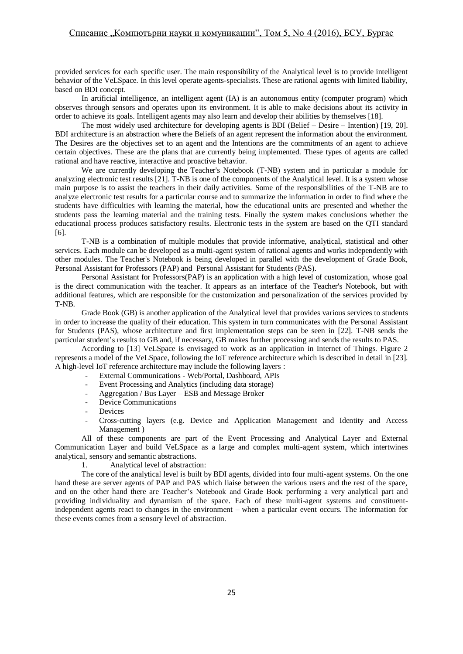provided services for each specific user. The main responsibility of the Analytical level is to provide intelligent behavior of the VeLSpace. In this level operate agents-specialists. These are rational agents with limited liability, based on BDI concept.

In artificial intelligence, an intelligent agent (IA) is an autonomous entity (computer program) which observes through sensors and operates upon its environment. It is able to make decisions about its activity in order to achieve its goals. Intelligent agents may also learn and develop their abilities by themselves [18].

The most widely used architecture for developing agents is BDI (Belief – Desire – Intention) [19, 20]. BDI architecture is an abstraction where the Beliefs of an agent represent the information about the environment. The Desires are the objectives set to an agent and the Intentions are the commitments of an agent to achieve certain objectives. These are the plans that are currently being implemented. These types of agents are called rational and have reactive, interactive and proactive behavior.

We are currently developing the Teacher's Notebook (T-NB) system and in particular a module for analyzing electronic test results [21]. T-NB is one of the components of the Analytical level. It is a system whose main purpose is to assist the teachers in their daily activities. Some of the responsibilities of the T-NB are to analyze electronic test results for a particular course and to summarize the information in order to find where the students have difficulties with learning the material, how the educational units are presented and whether the students pass the learning material and the training tests. Finally the system makes conclusions whether the educational process produces satisfactory results. Electronic tests in the system are based on the QTI standard [6].

T-NB is a combination of multiple modules that provide informative, analytical, statistical and other services. Each module can be developed as a multi-agent system of rational agents and works independently with other modules. The Teacher's Notebook is being developed in parallel with the development of Grade Book, Personal Assistant for Professors (PAP) and Personal Assistant for Students (PAS).

Personal Assistant for Professors(PAP) is an application with a high level of customization, whose goal is the direct communication with the teacher. It appears as an interface of the Teacher's Notebook, but with additional features, which are responsible for the customization and personalization of the services provided by T-NB.

Grade Book (GB) is another application of the Analytical level that provides various services to students in order to increase the quality of their education. This system in turn communicates with the Personal Assistant for Students (PAS), whose architecture and first implementation steps can be seen in [22]. T-NB sends the particular student's results to GB and, if necessary, GB makes further processing and sends the results to PAS.

According to [13] VeLSpace is envisaged to work as an application in Internet of Things. Figure 2 represents a model of the VeLSpace, following the IoT reference architecture which is described in detail in [23]. A high-level IoT reference architecture may include the following layers :

- External Communications Web/Portal, Dashboard, APIs
- Event Processing and Analytics (including data storage)
- Aggregation / Bus Layer ESB and Message Broker
- Device Communications
- **Devices**
- Cross-cutting layers (e.g. Device and Application Management and Identity and Access Management )

All of these components are part of the Event Processing and Analytical Layer and External Communication Layer and build VeLSpace as a large and complex multi-agent system, which intertwines analytical, sensory and semantic abstractions.

1. Analytical level of abstraction:

The core of the analytical level is built by BDI agents, divided into four multi-agent systems. On the one hand these are server agents of PAP and PAS which liaise between the various users and the rest of the space, and on the other hand there are Teacher's Notebook and Grade Book performing a very analytical part and providing individuality and dynamism of the space. Each of these multi-agent systems and constituentindependent agents react to changes in the environment – when a particular event occurs. The information for these events comes from a sensory level of abstraction.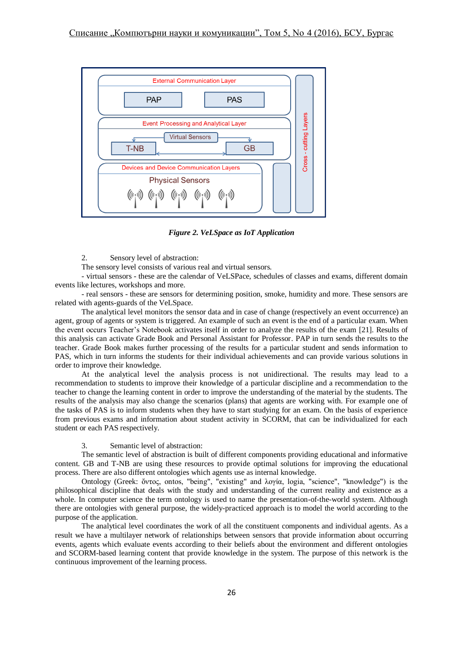

*Figure 2. VeLSpace as IoT Application*

2. Sensory level of abstraction:

The sensory level consists of various real and virtual sensors.

- virtual sensors - these are the calendar of VeLSPace, schedules of classes and exams, different domain events like lectures, workshops and more.

- real sensors - these are sensors for determining position, smoke, humidity and more. These sensors are related with agents-guards of the VeLSpace.

The analytical level monitors the sensor data and in case of change (respectively an event occurrence) an agent, group of agents or system is triggered. An example of such an event is the end of a particular exam. When the event occurs Teacher's Notebook activates itself in order to analyze the results of the exam [21]. Results of this analysis can activate Grade Book and Personal Assistant for Professor. PAP in turn sends the results to the teacher. Grade Book makes further processing of the results for a particular student and sends information to PAS, which in turn informs the students for their individual achievements and can provide various solutions in order to improve their knowledge.

At the analytical level the analysis process is not unidirectional. The results may lead to a recommendation to students to improve their knowledge of a particular discipline and a recommendation to the teacher to change the learning content in order to improve the understanding of the material by the students. The results of the analysis may also change the scenarios (plans) that agents are working with. For example one of the tasks of PAS is to inform students when they have to start studying for an exam. On the basis of experience from previous exams and information about student activity in SCORM, that can be individualized for each student or each PAS respectively.

# 3. Semantic level of abstraction:

The semantic level of abstraction is built of different components providing educational and informative content. GB and T-NB are using these resources to provide optimal solutions for improving the educational process. There are also different ontologies which agents use as internal knowledge.

Ontology (Greek: ὄντος, ontos, "being", "existing" and λογία, logia, "science", "knowledge") is the philosophical discipline that deals with the study and understanding of the current reality and existence as a whole. In computer science the term ontology is used to name the presentation-of-the-world system. Although there are ontologies with general purpose, the widely-practiced approach is to model the world according to the purpose of the application.

The analytical level coordinates the work of all the constituent components and individual agents. As a result we have a multilayer network of relationships between sensors that provide information about occurring events, agents which evaluate events according to their beliefs about the environment and different ontologies and SCORM-based learning content that provide knowledge in the system. The purpose of this network is the continuous improvement of the learning process.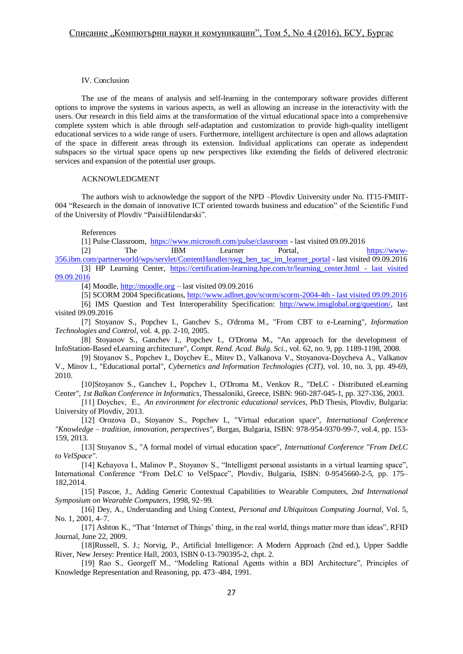## IV. Conclusion

The use of the means of analysis and self-learning in the contemporary software provides different options to improve the systems in various aspects, as well as allowing an increase in the interactivity with the users. Our research in this field aims at the transformation of the virtual educational space into a comprehensive complete system which is able through self-adaptation and customization to provide high-quality intelligent educational services to a wide range of users. Furthermore, intelligent architecture is open and allows adaptation of the space in different areas through its extension. Individual applications can operate as independent subspaces so the virtual space opens up new perspectives like extending the fields of delivered electronic services and expansion of the potential user groups.

#### ACKNOWLEDGMENT

The authors wish to acknowledge the support of the NPD –Plovdiv University under No. IT15-FMIIT-004 "Research in the domain of innovative ICT oriented towards business and education" of the Scientific Fund of the University of Plovdiv "PaisiiHilendarski".

References

[1] Pulse Classroom,<https://www.microsoft.com/pulse/classroom> - last visited 09.09.2016

[2] The IBM Learner Portal, [https://www-](https://www-356.ibm.com/partnerworld/wps/servlet/ContentHandler/swg_ben_tac_im_learner_portal)[356.ibm.com/partnerworld/wps/servlet/ContentHandler/swg\\_ben\\_tac\\_im\\_learner\\_portal](https://www-356.ibm.com/partnerworld/wps/servlet/ContentHandler/swg_ben_tac_im_learner_portal) - last visited 09.09.2016 [3] HP Learning Center, [https://certification-learning.hpe.com/tr/learning\\_center.html](https://certification-learning.hpe.com/tr/learning_center.html%20-%20last%20visited%2009.09.2016) - last visited [09.09.2016](https://certification-learning.hpe.com/tr/learning_center.html%20-%20last%20visited%2009.09.2016)

[4] Moodle,  $\frac{http://model.org - last visited 09.09.2016}{}$ 

[5] SCORM 2004 Specifications[, http://www.adlnet.gov/scorm/scorm-2004-4th](http://www.adlnet.gov/scorm/scorm-2004-4th%20-%20last%20visited%2009.09.2016) - last visited 09.09.2016 [6] IMS Question and Test Interoperability Specification: [http://www.imsglobal.org/question/,](http://www.imsglobal.org/question/) last

visited 09.09.2016

[7] Stoyanov S., Popchev I., Ganchev S., O'droma M., "From CBT to e-Learning", *Information Technologies and Control*, vol. 4, pp. 2-10, 2005.

[8] Stoyanov S., Ganchev I., Popchev I., O'Droma M., "An approach for the development of InfoStation-Based eLearning architecture", *Compt. Rend. Acad. Bulg. Sci.*, vol. 62, no. 9, pp. 1189-1198, 2008.

[9] Stoyanov S., Popchev I., Doychev E., Mitev D., Valkanova V., Stoyanova-Doycheva A., Valkanov V., Minov I., "Educational portal", *Cybernetics and Information Technologies (CIT)*, vol. 10, no. 3, pp. 49-69, 2010.

[10]Stoyanov S., Ganchev I., Popchev I., O'Droma M., Venkov R., "DeLC - Distributed eLearning Center", *1st Balkan Conference in Informatics*, Thessaloniki, Greece, ISBN: 960-287-045-1, pp. 327-336, 2003.

[11] Doychev, Е., *An environment for electronic educational services*, PhD Thesis, Plovdiv, Bulgaria: University of Plovdiv, 2013.

[12] Orozova D., Stoyanov S., Popchev I., "Virtual education space", *International Conference "Knowledge – tradition, innovation, perspectives",* Burgas, Bulgaria, ISBN: 978-954-9370-99-7, vol.4, pp. 153- 159, 2013.

[13] Stoyanov S., "A formal model of virtual education space", *International Conference "From DeLC to VelSpace"*.

[14] Kehayova I., Malinov P., Stoyanov S., "Intelligent personal assistants in a virtual learning space", International Conference "From DeLC to VelSpace", Plovdiv, Bulgaria, ISBN: 0-9545660-2-5, pp. 175– 182,2014.

[15] Pascoe, J., Adding Generic Contextual Capabilities to Wearable Computers, *2nd International Symposium on Wearable Computers*, 1998, 92–99.

[16] Dey, A., Understanding and Using Context, *Personal and Ubiquitous Computing Journal*, Vol. 5, No. 1, 2001, 4–7.

[17] Ashton K., "That 'Internet of Things' thing, in the real world, things matter more than ideas", RFID Journal, June 22, 2009.

[18]Russell, S. J.; Norvig, P., Artificial Intelligence: A Modern Approach (2nd ed.), Upper Saddle River, New Jersey: Prentice Hall, 2003, ISBN 0-13-790395-2, chpt. 2.

[19] Rao S., Georgeff M., "Modeling Rational Agents within a BDI Architecture", Principles of Knowledge Representation and Reasoning, pp. 473–484, 1991.